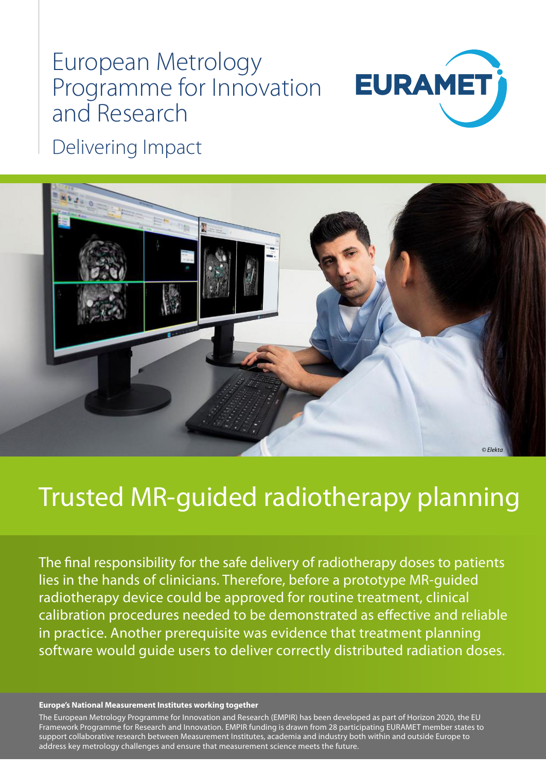## European Metrology Programme for Innovation and Research



Delivering Impact



# Trusted MR-guided radiotherapy planning

The final responsibility for the safe delivery of radiotherapy doses to patients lies in the hands of clinicians. Therefore, before a prototype MR-guided radiotherapy device could be approved for routine treatment, clinical calibration procedures needed to be demonstrated as effective and reliable in practice. Another prerequisite was evidence that treatment planning software would guide users to deliver correctly distributed radiation doses.

#### **Europe's National Measurement Institutes working together**

The European Metrology Programme for Innovation and Research (EMPIR) has been developed as part of Horizon 2020, the EU Framework Programme for Research and Innovation. EMPIR funding is drawn from 28 participating EURAMET member states to support collaborative research between Measurement Institutes, academia and industry both within and outside Europe to address key metrology challenges and ensure that measurement science meets the future.